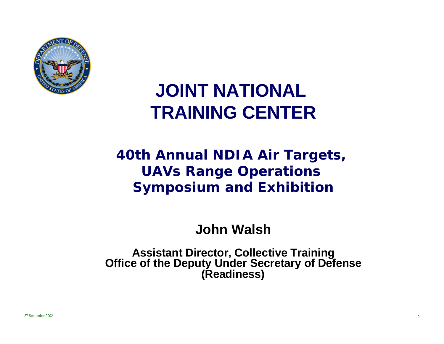

# **JOINT NATIONAL TRAINING CENTER**

#### **40th Annual NDIA Air Targets, UAVs Range Operations Symposium and Exhibition**

**John Walsh**

**Assistant Director, Collective Training Office of the Deputy Under Secretary of Defense (Readiness)**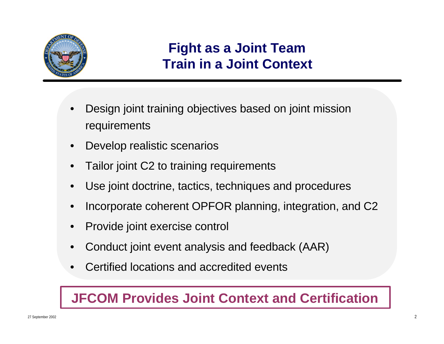

#### **Fight as a Joint Team Train in a Joint Context**

- Design joint training objectives based on joint mission requirements
- Develop realistic scenarios
- Tailor joint C2 to training requirements
- Use joint doctrine, tactics, techniques and procedures
- Incorporate coherent OPFOR planning, integration, and C2
- Provide joint exercise control
- Conduct joint event analysis and feedback (AAR)
- Certified locations and accredited events

#### **JFCOM Provides Joint Context and Certification**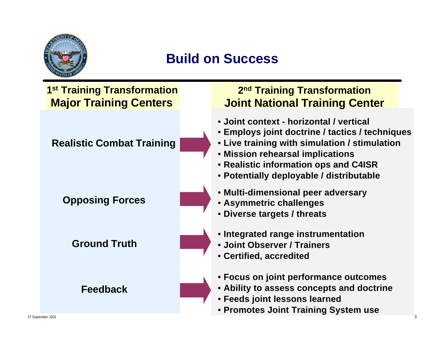

#### **Build on Success**

#### **Opposing Forces Ground Truth Feedback** • **Multi-dimensional peer adversary** • **Asymmetric challenges** • **Diverse targets / threats** • **Integrated range instrumentation** • **Joint Observer / Trainers** • **Certified, accredited 1 st Training Transformation Major Training Centers 2 nd Training Transformation Joint National Training Center Realistic Combat Training** • **Joint context - horizontal / vertical** • **Employs joint doctrine / tactics / techniques** • **Live training with simulation / stimulation** • **Mission rehearsal implications** • **Realistic information ops and C4ISR** • **Potentially deployable / distributable** • **Focus on joint performance outcomes** • **Ability to assess concepts and doctrine** • **Feeds joint lessons learned** • **Promotes Joint Training System use**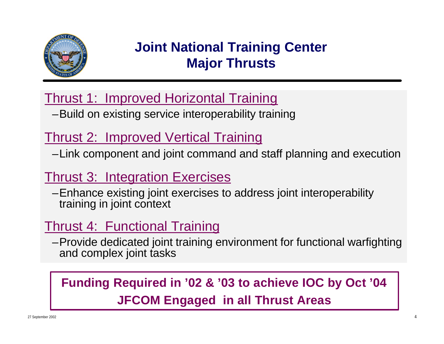

#### **Joint National Training Center Major Thrusts**

#### Thrust 1: Improved Horizontal Training

–Build on existing service interoperability training

#### Thrust 2: Improved Vertical Training

–Link component and joint command and staff planning and execution

#### Thrust 3: Integration Exercises

–Enhance existing joint exercises to address joint interoperability training in joint context

#### Thrust 4: Functional Training

–Provide dedicated joint training environment for functional warfighting and complex joint tasks

### **Funding Required in '02 & '03 to achieve IOC by Oct '04 JFCOM Engaged in all Thrust Areas**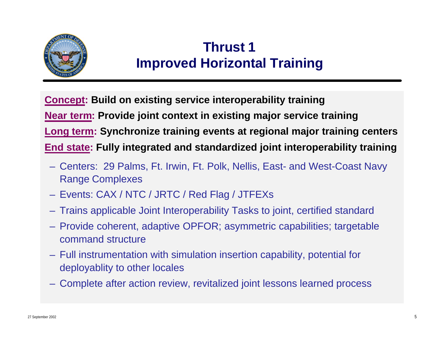

#### **Thrust 1 Improved Horizontal Training**

**Concept: Build on existing service interoperability training Near term: Provide joint context in existing major service training Long term: Synchronize training events at regional major training centers End state: Fully integrated and standardized joint interoperability training**

- Centers: 29 Palms, Ft. Irwin, Ft. Polk, Nellis, East- and West-Coast Navy Range Complexes
- Events: CAX / NTC / JRTC / Red Flag / JTFEXs
- Trains applicable Joint Interoperability Tasks to joint, certified standard
- Provide coherent, adaptive OPFOR; asymmetric capabilities; targetable command structure
- Full instrumentation with simulation insertion capability, potential for deployablity to other locales
- Complete after action review, revitalized joint lessons learned process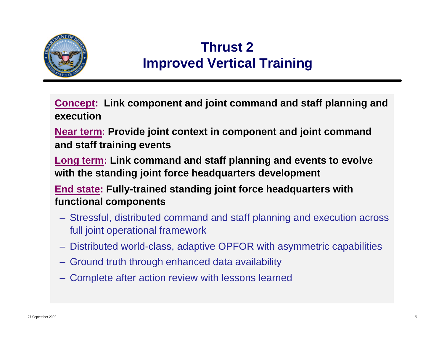

#### **Thrust 2 Improved Vertical Training**

**Concept: Link component and joint command and staff planning and execution**

**Near term: Provide joint context in component and joint command and staff training events**

**Long term: Link command and staff planning and events to evolve with the standing joint force headquarters development**

**End state: Fully-trained standing joint force headquarters with functional components**

- Stressful, distributed command and staff planning and execution across full joint operational framework
- Distributed world-class, adaptive OPFOR with asymmetric capabilities
- Ground truth through enhanced data availability
- Complete after action review with lessons learned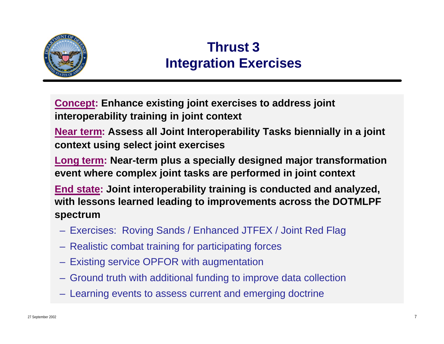

### **Thrust 3 Integration Exercises**

**Concept: Enhance existing joint exercises to address joint interoperability training in joint context**

**Near term: Assess all Joint Interoperability Tasks biennially in a joint context using select joint exercises**

**Long term: Near-term plus a specially designed major transformation event where complex joint tasks are performed in joint context**

**End state: Joint interoperability training is conducted and analyzed, with lessons learned leading to improvements across the DOTMLPF spectrum**

- Exercises: Roving Sands / Enhanced JTFEX / Joint Red Flag
- Realistic combat training for participating forces
- Existing service OPFOR with augmentation
- Ground truth with additional funding to improve data collection
- Learning events to assess current and emerging doctrine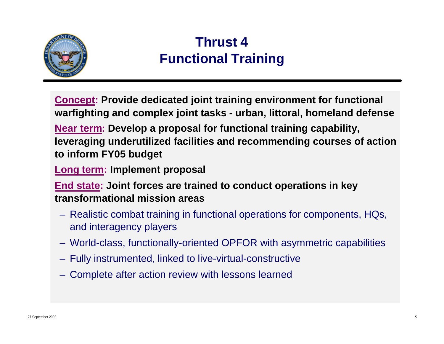

### **Thrust 4 Functional Training**

**Concept: Provide dedicated joint training environment for functional warfighting and complex joint tasks - urban, littoral, homeland defense**

**Near term: Develop a proposal for functional training capability, leveraging underutilized facilities and recommending courses of action to inform FY05 budget**

**Long term: Implement proposal**

**End state: Joint forces are trained to conduct operations in key transformational mission areas**

- Realistic combat training in functional operations for components, HQs, and interagency players
- World-class, functionally-oriented OPFOR with asymmetric capabilities
- Fully instrumented, linked to live-virtual-constructive
- Complete after action review with lessons learned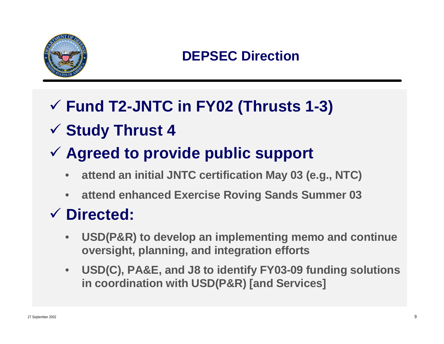

#### **DEPSEC Direction**

## ¸ **Fund T2-JNTC in FY02 (Thrusts 1-3)**

## ¸ **Study Thrust 4**

## ¸ **Agreed to provide public support**

- **attend an initial JNTC certification May 03 (e.g., NTC)**
- **attend enhanced Exercise Roving Sands Summer 03**

## ¸ **Directed:**

- **USD(P&R) to develop an implementing memo and continue oversight, planning, and integration efforts**
- **USD(C), PA&E, and J8 to identify FY03-09 funding solutions in coordination with USD(P&R) [and Services]**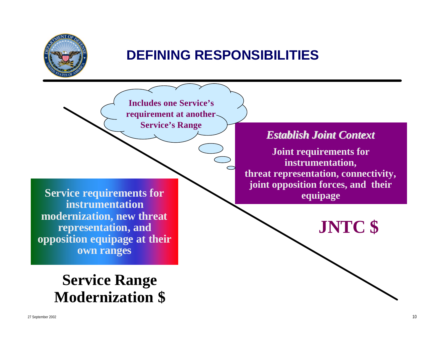

#### **DEFINING RESPONSIBILITIES**

**Includes one Service's requirement at another Service's Range**

**Service requirements for instrumentation modernization, new threat representation, and opposition equipage at their own ranges**

## **Service Range Modernization \$**

#### *Establish Joint Context*

**Joint requirements for instrumentation, threat representation, connectivity, joint opposition forces, and their equipage**

**JNTC \$**